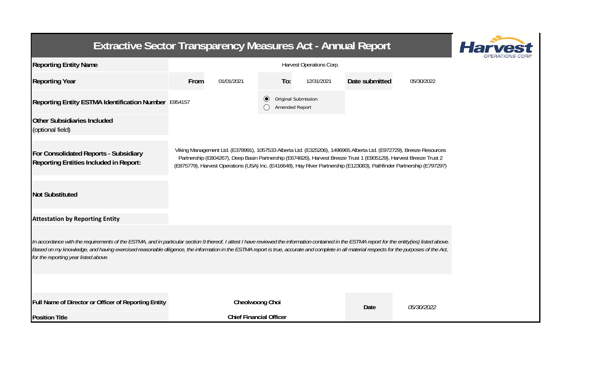| <b>Extractive Sector Transparency Measures Act - Annual Report</b>                                                                                                                                                                                                                                                                                                                                                                    |                          |                                |                                                  |            |                                                                                                                   |                                                                                                                                                                                                                                             |  |
|---------------------------------------------------------------------------------------------------------------------------------------------------------------------------------------------------------------------------------------------------------------------------------------------------------------------------------------------------------------------------------------------------------------------------------------|--------------------------|--------------------------------|--------------------------------------------------|------------|-------------------------------------------------------------------------------------------------------------------|---------------------------------------------------------------------------------------------------------------------------------------------------------------------------------------------------------------------------------------------|--|
| <b>Reporting Entity Name</b>                                                                                                                                                                                                                                                                                                                                                                                                          | Harvest Operations Corp. |                                |                                                  |            |                                                                                                                   |                                                                                                                                                                                                                                             |  |
| <b>Reporting Year</b>                                                                                                                                                                                                                                                                                                                                                                                                                 | From                     | 01/01/2021                     | To:                                              | 12/31/2021 | Date submitted                                                                                                    | 05/30/2022                                                                                                                                                                                                                                  |  |
| Reporting Entity ESTMA Identification Number E954157                                                                                                                                                                                                                                                                                                                                                                                  |                          |                                | Original Submission<br>$\odot$<br>Amended Report |            |                                                                                                                   |                                                                                                                                                                                                                                             |  |
| <b>Other Subsidiaries Included</b><br>(optional field)                                                                                                                                                                                                                                                                                                                                                                                |                          |                                |                                                  |            |                                                                                                                   |                                                                                                                                                                                                                                             |  |
| For Consolidated Reports - Subsidiary<br><b>Reporting Entities Included in Report:</b>                                                                                                                                                                                                                                                                                                                                                |                          |                                |                                                  |            | Partnership (E804267), Deep Basin Partnership (E674826), Harvest Breeze Trust 1 (E905129), Harvest Breeze Trust 2 | Viking Management Ltd. (E378991), 1057533 Alberta Ltd. (E325206), 1496965 Alberta Ltd. (E972729), Breeze Resources<br>(E875779), Harvest Operations (USA) Inc. (E416648), Hay River Partnership (E123083), Pathfinder Partnership (E797297) |  |
| <b>Not Substituted</b>                                                                                                                                                                                                                                                                                                                                                                                                                |                          |                                |                                                  |            |                                                                                                                   |                                                                                                                                                                                                                                             |  |
| <b>Attestation by Reporting Entity</b>                                                                                                                                                                                                                                                                                                                                                                                                |                          |                                |                                                  |            |                                                                                                                   |                                                                                                                                                                                                                                             |  |
| In accordance with the requirements of the ESTMA, and in particular section 9 thereof, I attest I have reviewed the information contained in the ESTMA report for the entity(ies) listed above.<br>Based on my knowledge, and having exercised reasonable diligence, the information in the ESTMA report is true, accurate and complete in all material respects for the purposes of the Act,<br>for the reporting year listed above. |                          |                                |                                                  |            |                                                                                                                   |                                                                                                                                                                                                                                             |  |
|                                                                                                                                                                                                                                                                                                                                                                                                                                       |                          |                                |                                                  |            |                                                                                                                   |                                                                                                                                                                                                                                             |  |
| Full Name of Director or Officer of Reporting Entity                                                                                                                                                                                                                                                                                                                                                                                  |                          | Cheolwoong Choi                |                                                  |            | Date                                                                                                              | 05/30/2022                                                                                                                                                                                                                                  |  |
| <b>Position Title</b>                                                                                                                                                                                                                                                                                                                                                                                                                 |                          | <b>Chief Financial Officer</b> |                                                  |            |                                                                                                                   |                                                                                                                                                                                                                                             |  |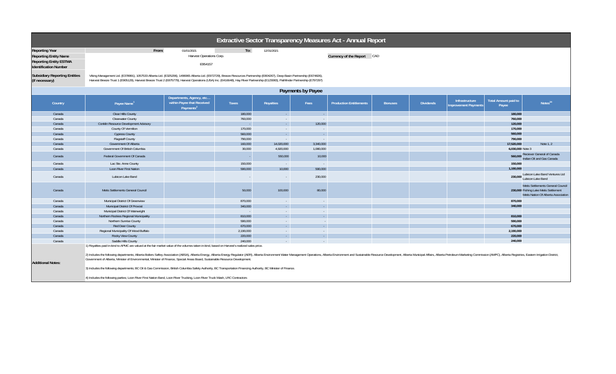| Extractive Sector Transparency Measures Act - Annual Report   |                                                                                                                                                                                                                                                                                                                                                                 |                                                                                 |                    |                     |                               |                                |                |                  |                                       |                                      |                                                                                                                   |
|---------------------------------------------------------------|-----------------------------------------------------------------------------------------------------------------------------------------------------------------------------------------------------------------------------------------------------------------------------------------------------------------------------------------------------------------|---------------------------------------------------------------------------------|--------------------|---------------------|-------------------------------|--------------------------------|----------------|------------------|---------------------------------------|--------------------------------------|-------------------------------------------------------------------------------------------------------------------|
| <b>Reporting Year</b>                                         | From:                                                                                                                                                                                                                                                                                                                                                           | 01/01/2021                                                                      | To:                | 12/31/2021          |                               |                                |                |                  |                                       |                                      |                                                                                                                   |
| <b>Reporting Entity Name</b>                                  |                                                                                                                                                                                                                                                                                                                                                                 | Harvest Operations Corp.                                                        |                    |                     |                               | Currency of the Report CAD     |                |                  |                                       |                                      |                                                                                                                   |
| <b>Reporting Entity ESTMA</b><br><b>Identification Number</b> |                                                                                                                                                                                                                                                                                                                                                                 | E954157                                                                         |                    |                     |                               |                                |                |                  |                                       |                                      |                                                                                                                   |
| <b>Subsidiary Reporting Entities</b><br>(if necessary)        | Viking Management Ltd. (E378991), 1057533 Alberta Ltd. (E325206), 1496965 Alberta Ltd. (E972729), Breeze Resources Partnership (E804267), Deep Basin Partnership (E674826),<br>Harvest Breeze Trust 1 (E905129), Harvest Breeze Trust 2 (E875779), Harvest Operations (USA) Inc. (E416648), Hay River Partnership (E123083), Pathfinder Partnership (E797297)   |                                                                                 |                    |                     |                               |                                |                |                  |                                       |                                      |                                                                                                                   |
| Payments by Payee                                             |                                                                                                                                                                                                                                                                                                                                                                 |                                                                                 |                    |                     |                               |                                |                |                  |                                       |                                      |                                                                                                                   |
| Country                                                       | Payee Name <sup>1</sup>                                                                                                                                                                                                                                                                                                                                         | Departments, Agency, etc<br>within Payee that Received<br>Payments <sup>2</sup> | <b>Taxes</b>       | Royalties           | Fees                          | <b>Production Entitlements</b> | <b>Bonuses</b> | <b>Dividends</b> | Infrastructure<br>nprovement Payments | <b>Total Amount paid to</b><br>Payee | Notes <sup>34</sup>                                                                                               |
| Canada                                                        | Clear Hills County                                                                                                                                                                                                                                                                                                                                              |                                                                                 | 180,000            | $\sim$              | $\sim 10^{-1}$                |                                |                |                  |                                       | 180,000                              |                                                                                                                   |
| Canada                                                        | Clearwater County                                                                                                                                                                                                                                                                                                                                               |                                                                                 | 760,000            | $\sim$              | $\sim$                        |                                |                |                  |                                       | 760,000                              |                                                                                                                   |
| Canada                                                        | Conklin Resource Development Advisory                                                                                                                                                                                                                                                                                                                           |                                                                                 |                    | $\sim$              | 120,000                       |                                |                |                  |                                       | 120,000                              |                                                                                                                   |
| Canada                                                        | County Of Vermilion                                                                                                                                                                                                                                                                                                                                             |                                                                                 | 170,000            | $\sim$              | $\sim$                        |                                |                |                  |                                       | 170,000                              |                                                                                                                   |
| Canada                                                        | <b>Cypress County</b>                                                                                                                                                                                                                                                                                                                                           |                                                                                 | 560,000            | $\sim$              | $\sim$                        |                                |                |                  |                                       | 560,000                              |                                                                                                                   |
| Canada                                                        | <b>Flagstaff County</b>                                                                                                                                                                                                                                                                                                                                         |                                                                                 | 790,000            | $\sim$              | $\overline{\phantom{a}}$      |                                |                |                  |                                       | 790,000                              |                                                                                                                   |
| Canada                                                        | Government Of Alberta                                                                                                                                                                                                                                                                                                                                           |                                                                                 | 160,000            | 14,020,000          | 3,340,000                     |                                |                |                  |                                       | 17,520,000                           | Note 1, 2                                                                                                         |
| Canada                                                        | Government Of British Columbia                                                                                                                                                                                                                                                                                                                                  |                                                                                 | 30,000             | 4,920,000           | 1,080,000                     |                                |                |                  |                                       | 6,030,000 Note 3                     |                                                                                                                   |
| Canada                                                        | Federal Government Of Canada                                                                                                                                                                                                                                                                                                                                    |                                                                                 | ٠.                 | 550,000             | 10,000                        |                                |                |                  |                                       |                                      | 560,000 Reciever General of Canada<br>Indian Oil and Gas Canada                                                   |
| Canada                                                        | Lac Ste. Anne County                                                                                                                                                                                                                                                                                                                                            |                                                                                 | 150,000            | $\sim 10^{-1}$      | $\sim$                        |                                |                |                  |                                       | 150,000                              |                                                                                                                   |
| Canada                                                        | Loon River First Nation                                                                                                                                                                                                                                                                                                                                         |                                                                                 | 590,000            | 10,000              | 590,000                       |                                |                |                  |                                       | 1,190,000                            |                                                                                                                   |
| Canada                                                        | Lubicon Lake Band                                                                                                                                                                                                                                                                                                                                               |                                                                                 | $\sim$             | $\sim$              | 230,000                       |                                |                |                  |                                       | 230.000                              | Lubicon Lake Band Ventures Ltd<br>Lubicon Lake Band                                                               |
| Canada                                                        | Metis Settlements General Council                                                                                                                                                                                                                                                                                                                               |                                                                                 | 50,000             | 100,000             | 80,000                        |                                |                |                  |                                       |                                      | Metis Settlements General Council<br>230,000 Fishing Lake Metis Settlement<br>Metis Nation Of Alberta Association |
| Canada                                                        | Municipal District Of Greenview                                                                                                                                                                                                                                                                                                                                 |                                                                                 | 870,000            | $\sim$              | $\sim$                        |                                |                |                  |                                       | 870,000                              |                                                                                                                   |
| Canada                                                        | Municipal District Of Provost                                                                                                                                                                                                                                                                                                                                   |                                                                                 | 340,000            | $\sim$              | $\sim$                        |                                |                |                  |                                       | 340,000                              |                                                                                                                   |
| Canada                                                        | Municipal District Of Wainwright                                                                                                                                                                                                                                                                                                                                |                                                                                 | $\sim$             | $\sim$              | $\sim$                        |                                |                |                  |                                       |                                      |                                                                                                                   |
| Canada                                                        | Northern Rockies Regional Municipality                                                                                                                                                                                                                                                                                                                          |                                                                                 | 810,000            | $\sim$              | $\sim$                        |                                |                |                  |                                       | 810,000                              |                                                                                                                   |
| Canada                                                        | Northern Sunrise County                                                                                                                                                                                                                                                                                                                                         |                                                                                 | 590,000            | $\sim$              | $\sim$                        |                                |                |                  |                                       | 590,000                              |                                                                                                                   |
| Canada                                                        | Red Deer County                                                                                                                                                                                                                                                                                                                                                 |                                                                                 | 670,000            | $\sim$              | $\sim$                        |                                |                |                  |                                       | 670,000                              |                                                                                                                   |
| Canada                                                        | Regional Municipality Of Wood Buffalo                                                                                                                                                                                                                                                                                                                           |                                                                                 | 2,190,000          | $\sim$              | $\sim$                        |                                |                |                  |                                       | 2,190,000<br>220,000                 |                                                                                                                   |
| Canada<br>Canada                                              | Rocky View County                                                                                                                                                                                                                                                                                                                                               |                                                                                 | 220,000<br>240,000 | $\mathcal{L}^{\pm}$ | $\mathcal{L}^{\pm}$<br>$\sim$ |                                |                |                  |                                       | 240,000                              |                                                                                                                   |
|                                                               | Saddle Hills County<br>1) Royalties paid in-kind to APMC are valued at the fair market value of the volumes taken in-kind, based on Harvest's realized sales price.                                                                                                                                                                                             |                                                                                 |                    | $\sim$              |                               |                                |                |                  |                                       |                                      |                                                                                                                   |
| <b>Additional Notes:</b>                                      | 2) Includes the following departments; Alberta Boilers Safley Association (ABSA), Alberta Energy, Alberta Energy, Alberta Energy, Alberta Environment Water Management Operations, Alberta Environment and Sustainable Resourc<br>Government of Alberta, Minister of Environmental, Minister of Finance, Special Areas Board, Sustainable Resource Development. |                                                                                 |                    |                     |                               |                                |                |                  |                                       |                                      |                                                                                                                   |
|                                                               | 3) Includes the following departments; BC Oil & Gas Commission, British Columbia Safety Authority, BC Transportation Financing Authority, BC Minister of Finance.<br>4) Includes the following parties; Loon River First Nation Band, Loon River Trucking, Loon River Truck Wash, LRC Contractors                                                               |                                                                                 |                    |                     |                               |                                |                |                  |                                       |                                      |                                                                                                                   |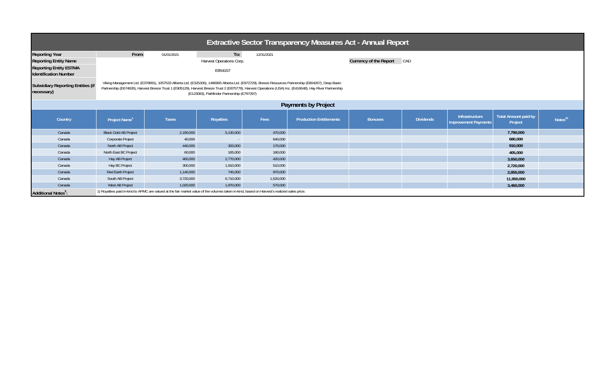| <b>Extractive Sector Transparency Measures Act - Annual Report</b>                                                                                                                                                                            |                                                                                                                                                                                                                                         |                                                                                                                                              |           |           |                                |                                      |                  |                                               |                                        |                     |  |  |
|-----------------------------------------------------------------------------------------------------------------------------------------------------------------------------------------------------------------------------------------------|-----------------------------------------------------------------------------------------------------------------------------------------------------------------------------------------------------------------------------------------|----------------------------------------------------------------------------------------------------------------------------------------------|-----------|-----------|--------------------------------|--------------------------------------|------------------|-----------------------------------------------|----------------------------------------|---------------------|--|--|
| <b>Reporting Year</b><br><b>Reporting Entity Name</b><br><b>Reporting Entity ESTMA</b><br><b>Identification Number</b><br><b>Subsidiary Reporting Entities (if</b>                                                                            | To:<br>From:<br>01/01/2021<br>12/31/2021<br>Harvest Operations Corp.<br>E954157<br>Viking Management Ltd. (E378991), 1057533 Alberta Ltd. (E325206), 1496965 Alberta Ltd. (E972729), Breeze Resources Partnership (E804267), Deep Basin |                                                                                                                                              |           |           |                                | <b>Currency of the Report</b><br>CAD |                  |                                               |                                        |                     |  |  |
| Partnership (E674826), Harvest Breeze Trust 1 (E905129), Harvest Breeze Trust 2 (E875779), Harvest Operations (USA) Inc. (E416648), Hay River Partnership<br>necessary)<br>(E123083), Pathfinder Partnership (E797297)<br>Payments by Project |                                                                                                                                                                                                                                         |                                                                                                                                              |           |           |                                |                                      |                  |                                               |                                        |                     |  |  |
| Country                                                                                                                                                                                                                                       | Project Name <sup>1</sup>                                                                                                                                                                                                               | <b>Taxes</b>                                                                                                                                 | Royalties | Fees      | <b>Production Entitlements</b> | <b>Bonuses</b>                       | <b>Dividends</b> | Infrastructure<br><b>Improvement Payments</b> | <b>Total Amount paid by</b><br>Project | Notes <sup>23</sup> |  |  |
| Canada                                                                                                                                                                                                                                        | <b>Black Gold AB Project</b>                                                                                                                                                                                                            | 2,190,000                                                                                                                                    | 5,130,000 | 470,000   |                                |                                      |                  |                                               | 7,790,000                              |                     |  |  |
| Canada                                                                                                                                                                                                                                        | Corporate Project                                                                                                                                                                                                                       | 40,000                                                                                                                                       | $\sim$    | 640,000   |                                |                                      |                  |                                               | 680,000                                |                     |  |  |
| Canada                                                                                                                                                                                                                                        | North AB Project                                                                                                                                                                                                                        | 440,000                                                                                                                                      | 300,000   | 170,000   |                                |                                      |                  |                                               | 910,000                                |                     |  |  |
| Canada                                                                                                                                                                                                                                        | North East BC Project                                                                                                                                                                                                                   | 60,000                                                                                                                                       | 165,000   | 180,000   |                                |                                      |                  |                                               | 405,000                                |                     |  |  |
| Canada                                                                                                                                                                                                                                        | Hay AB Project                                                                                                                                                                                                                          | 460,000                                                                                                                                      | 2,770,000 | 420,000   |                                |                                      |                  |                                               | 3,650,000                              |                     |  |  |
| Canada                                                                                                                                                                                                                                        | Hay BC Project                                                                                                                                                                                                                          | 300,000                                                                                                                                      | 1,910,000 | 510,000   |                                |                                      |                  |                                               | 2,720,000                              |                     |  |  |
| Canada                                                                                                                                                                                                                                        | Red Earth Project                                                                                                                                                                                                                       | 1,140,000                                                                                                                                    | 745,000   | 970,000   |                                |                                      |                  |                                               | 2,855,000                              |                     |  |  |
| Canada                                                                                                                                                                                                                                        | South AB Project                                                                                                                                                                                                                        | 3,720,000                                                                                                                                    | 6,710,000 | 1,520,000 |                                |                                      |                  |                                               | 11,950,000                             |                     |  |  |
| Canada                                                                                                                                                                                                                                        | West AB Project                                                                                                                                                                                                                         | 1,020,000                                                                                                                                    | 1,870,000 | 570,000   |                                |                                      |                  |                                               | 3,460,000                              |                     |  |  |
| Additional Notes <sup>3</sup> :                                                                                                                                                                                                               |                                                                                                                                                                                                                                         | 1) Royalties paid in-kind to APMC are valued at the fair market value of the volumes taken in-kind, based on Harvest's realized sales price. |           |           |                                |                                      |                  |                                               |                                        |                     |  |  |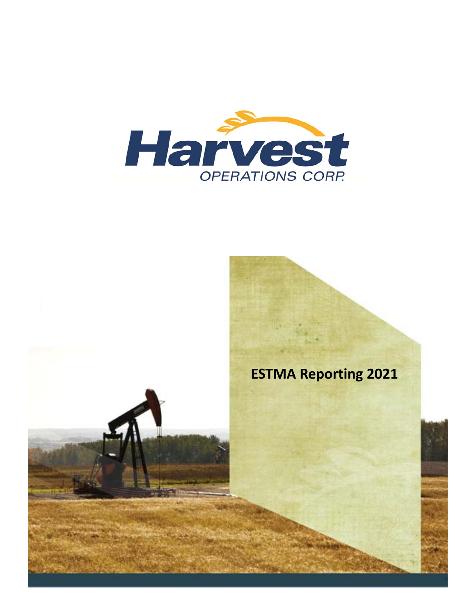

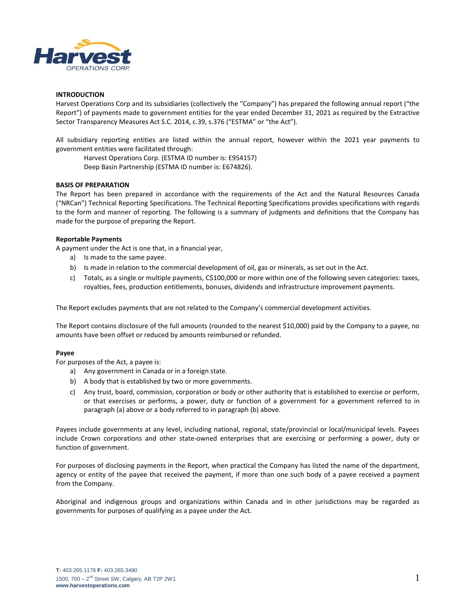

## **INTRODUCTION**

Harvest Operations Corp and its subsidiaries (collectively the "Company") has prepared the following annual report ("the Report") of payments made to government entities for the year ended December 31, 2021 as required by the Extractive Sector Transparency Measures Act S.C. 2014, c.39, s.376 ("ESTMA" or "the Act").

All subsidiary reporting entities are listed within the annual report, however within the 2021 year payments to government entities were facilitated through:

Harvest Operations Corp. (ESTMA ID number is: E954157) Deep Basin Partnership (ESTMA ID number is: E674826).

## **BASIS OF PREPARATION**

The Report has been prepared in accordance with the requirements of the Act and the Natural Resources Canada ("NRCan") Technical Reporting Specifications. The Technical Reporting Specifications provides specifications with regards to the form and manner of reporting. The following is a summary of judgments and definitions that the Company has made for the purpose of preparing the Report.

## **Reportable Payments**

A payment under the Act is one that, in a financial year,

- a) Is made to the same payee.
- b) Is made in relation to the commercial development of oil, gas or minerals, as set out in the Act.
- c) Totals, as a single or multiple payments, C\$100,000 or more within one of the following seven categories: taxes, royalties, fees, production entitlements, bonuses, dividends and infrastructure improvement payments.

The Report excludes payments that are not related to the Company's commercial development activities.

The Report contains disclosure of the full amounts (rounded to the nearest \$10,000) paid by the Company to a payee, no amounts have been offset or reduced by amounts reimbursed or refunded.

#### **Payee**

For purposes of the Act, a payee is:

- a) Any government in Canada or in a foreign state.
- b) A body that is established by two or more governments.
- c) Any trust, board, commission, corporation or body or other authority that is established to exercise or perform, or that exercises or performs, a power, duty or function of a government for a government referred to in paragraph (a) above or a body referred to in paragraph (b) above.

Payees include governments at any level, including national, regional, state/provincial or local/municipal levels. Payees include Crown corporations and other state-owned enterprises that are exercising or performing a power, duty or function of government.

For purposes of disclosing payments in the Report, when practical the Company has listed the name of the department, agency or entity of the payee that received the payment, if more than one such body of a payee received a payment from the Company.

Aboriginal and indigenous groups and organizations within Canada and in other jurisdictions may be regarded as governments for purposes of qualifying as a payee under the Act.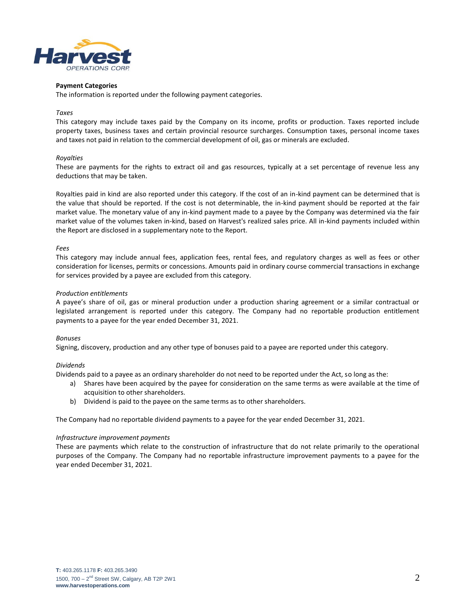

#### **Payment Categories**

The information is reported under the following payment categories.

## *Taxes*

This category may include taxes paid by the Company on its income, profits or production. Taxes reported include property taxes, business taxes and certain provincial resource surcharges. Consumption taxes, personal income taxes and taxes not paid in relation to the commercial development of oil, gas or minerals are excluded.

## *Royalties*

These are payments for the rights to extract oil and gas resources, typically at a set percentage of revenue less any deductions that may be taken.

Royalties paid in kind are also reported under this category. If the cost of an in-kind payment can be determined that is the value that should be reported. If the cost is not determinable, the in-kind payment should be reported at the fair market value. The monetary value of any in-kind payment made to a payee by the Company was determined via the fair market value of the volumes taken in-kind, based on Harvest's realized sales price. All in-kind payments included within the Report are disclosed in a supplementary note to the Report.

## *Fees*

This category may include annual fees, application fees, rental fees, and regulatory charges as well as fees or other consideration for licenses, permits or concessions. Amounts paid in ordinary course commercial transactions in exchange for services provided by a payee are excluded from this category.

## *Production entitlements*

A payee's share of oil, gas or mineral production under a production sharing agreement or a similar contractual or legislated arrangement is reported under this category. The Company had no reportable production entitlement payments to a payee for the year ended December 31, 2021.

#### *Bonuses*

Signing, discovery, production and any other type of bonuses paid to a payee are reported under this category.

# *Dividends*

Dividends paid to a payee as an ordinary shareholder do not need to be reported under the Act, so long as the:

- a) Shares have been acquired by the payee for consideration on the same terms as were available at the time of acquisition to other shareholders.
- b) Dividend is paid to the payee on the same terms as to other shareholders.

The Company had no reportable dividend payments to a payee for the year ended December 31, 2021.

#### *Infrastructure improvement payments*

These are payments which relate to the construction of infrastructure that do not relate primarily to the operational purposes of the Company. The Company had no reportable infrastructure improvement payments to a payee for the year ended December 31, 2021.